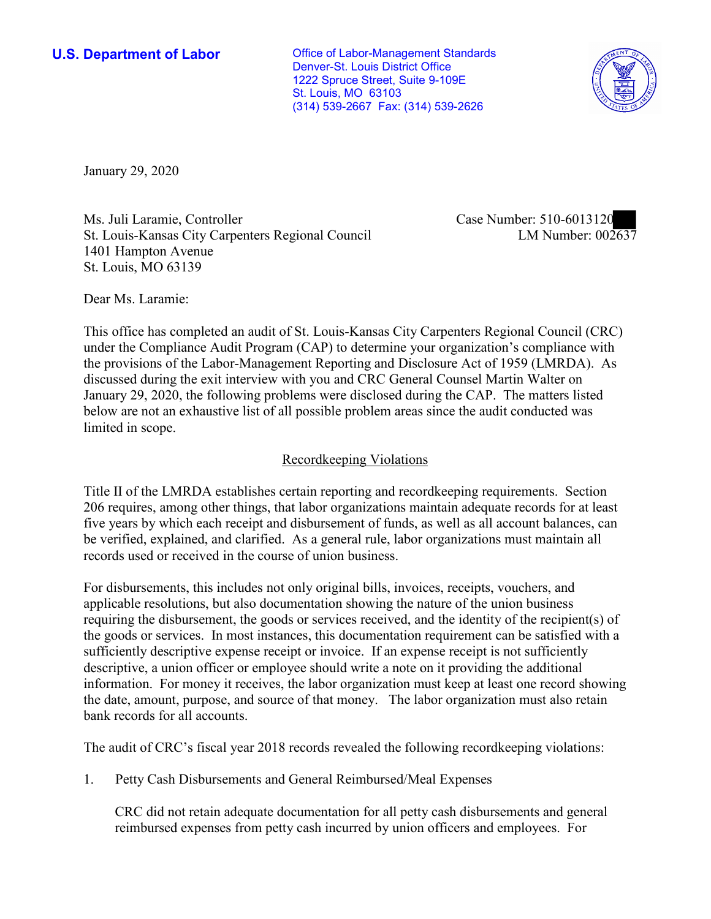**U.S. Department of Labor Conservative Conservative Conservative Conservative Conservative Conservative Conservative Conservative Conservative Conservative Conservative Conservative Conservative Conservative Conservative** Denver-St. Louis District Office 1222 Spruce Street, Suite 9-109E St. Louis, MO 63103 (314) 539-2667 Fax: (314) 539-2626



January 29, 2020

Ms. Juli Laramie, Controller Case Number: 510-6013120 St. Louis-Kansas City Carpenters Regional Council 1401 Hampton Avenue St. Louis, MO 63139

LM Number:  $002637$ 

Dear Ms. Laramie:

This office has completed an audit of St. Louis-Kansas City Carpenters Regional Council (CRC) under the Compliance Audit Program (CAP) to determine your organization's compliance with the provisions of the Labor-Management Reporting and Disclosure Act of 1959 (LMRDA). As discussed during the exit interview with you and CRC General Counsel Martin Walter on January 29, 2020, the following problems were disclosed during the CAP. The matters listed below are not an exhaustive list of all possible problem areas since the audit conducted was limited in scope.

# Recordkeeping Violations

Title II of the LMRDA establishes certain reporting and recordkeeping requirements. Section 206 requires, among other things, that labor organizations maintain adequate records for at least five years by which each receipt and disbursement of funds, as well as all account balances, can be verified, explained, and clarified. As a general rule, labor organizations must maintain all records used or received in the course of union business.

For disbursements, this includes not only original bills, invoices, receipts, vouchers, and applicable resolutions, but also documentation showing the nature of the union business requiring the disbursement, the goods or services received, and the identity of the recipient(s) of the goods or services. In most instances, this documentation requirement can be satisfied with a sufficiently descriptive expense receipt or invoice. If an expense receipt is not sufficiently descriptive, a union officer or employee should write a note on it providing the additional information. For money it receives, the labor organization must keep at least one record showing the date, amount, purpose, and source of that money. The labor organization must also retain bank records for all accounts.

The audit of CRC's fiscal year 2018 records revealed the following recordkeeping violations:

1. Petty Cash Disbursements and General Reimbursed/Meal Expenses

CRC did not retain adequate documentation for all petty cash disbursements and general reimbursed expenses from petty cash incurred by union officers and employees. For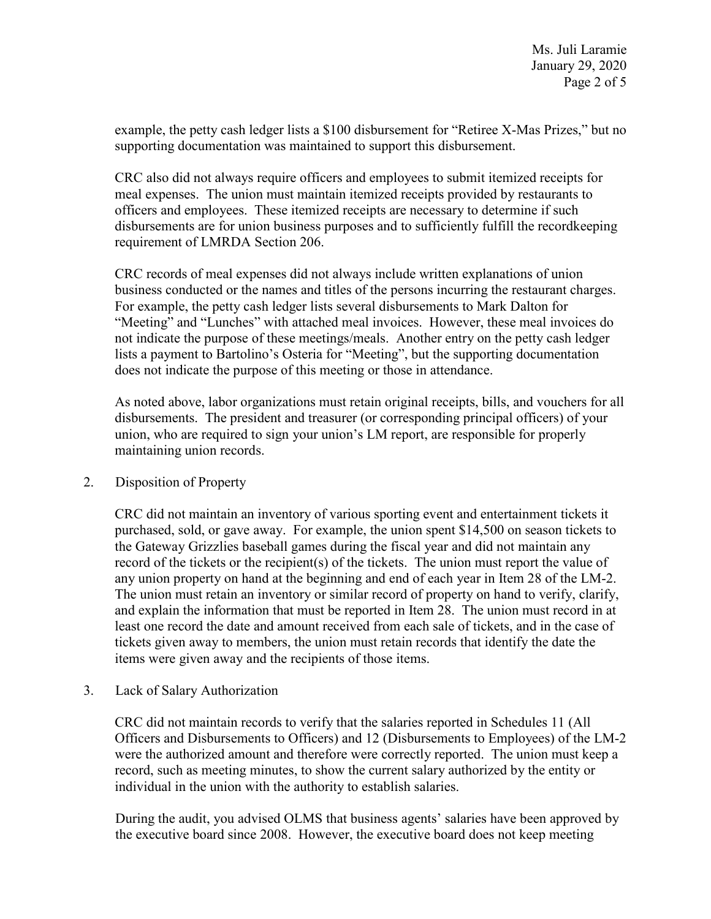example, the petty cash ledger lists a \$100 disbursement for "Retiree X-Mas Prizes," but no supporting documentation was maintained to support this disbursement.

CRC also did not always require officers and employees to submit itemized receipts for meal expenses. The union must maintain itemized receipts provided by restaurants to officers and employees. These itemized receipts are necessary to determine if such disbursements are for union business purposes and to sufficiently fulfill the recordkeeping requirement of LMRDA Section 206.

CRC records of meal expenses did not always include written explanations of union business conducted or the names and titles of the persons incurring the restaurant charges. For example, the petty cash ledger lists several disbursements to Mark Dalton for "Meeting" and "Lunches" with attached meal invoices. However, these meal invoices do not indicate the purpose of these meetings/meals. Another entry on the petty cash ledger lists a payment to Bartolino's Osteria for "Meeting", but the supporting documentation does not indicate the purpose of this meeting or those in attendance.

As noted above, labor organizations must retain original receipts, bills, and vouchers for all disbursements. The president and treasurer (or corresponding principal officers) of your union, who are required to sign your union's LM report, are responsible for properly maintaining union records.

# 2. Disposition of Property

CRC did not maintain an inventory of various sporting event and entertainment tickets it purchased, sold, or gave away. For example, the union spent \$14,500 on season tickets to the Gateway Grizzlies baseball games during the fiscal year and did not maintain any record of the tickets or the recipient(s) of the tickets. The union must report the value of any union property on hand at the beginning and end of each year in Item 28 of the LM-2. The union must retain an inventory or similar record of property on hand to verify, clarify, and explain the information that must be reported in Item 28. The union must record in at least one record the date and amount received from each sale of tickets, and in the case of tickets given away to members, the union must retain records that identify the date the items were given away and the recipients of those items.

3. Lack of Salary Authorization

CRC did not maintain records to verify that the salaries reported in Schedules 11 (All Officers and Disbursements to Officers) and 12 (Disbursements to Employees) of the LM-2 were the authorized amount and therefore were correctly reported. The union must keep a record, such as meeting minutes, to show the current salary authorized by the entity or individual in the union with the authority to establish salaries.

During the audit, you advised OLMS that business agents' salaries have been approved by the executive board since 2008. However, the executive board does not keep meeting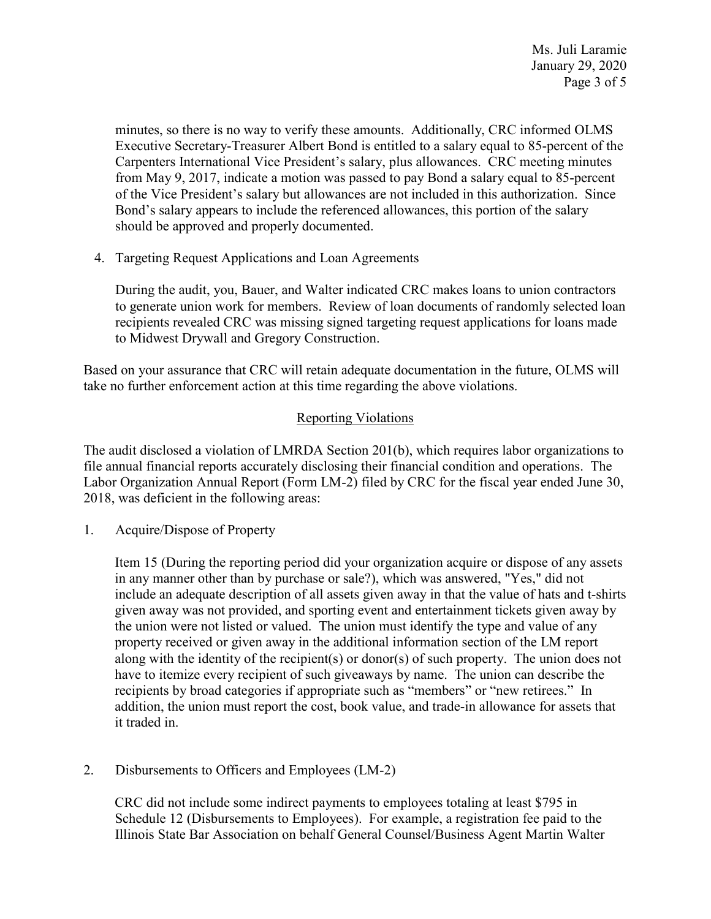minutes, so there is no way to verify these amounts. Additionally, CRC informed OLMS Executive Secretary-Treasurer Albert Bond is entitled to a salary equal to 85-percent of the Carpenters International Vice President's salary, plus allowances. CRC meeting minutes from May 9, 2017, indicate a motion was passed to pay Bond a salary equal to 85-percent of the Vice President's salary but allowances are not included in this authorization. Since Bond's salary appears to include the referenced allowances, this portion of the salary should be approved and properly documented.

4. Targeting Request Applications and Loan Agreements

During the audit, you, Bauer, and Walter indicated CRC makes loans to union contractors to generate union work for members. Review of loan documents of randomly selected loan recipients revealed CRC was missing signed targeting request applications for loans made to Midwest Drywall and Gregory Construction.

Based on your assurance that CRC will retain adequate documentation in the future, OLMS will take no further enforcement action at this time regarding the above violations.

# Reporting Violations

The audit disclosed a violation of LMRDA Section 201(b), which requires labor organizations to file annual financial reports accurately disclosing their financial condition and operations. The Labor Organization Annual Report (Form LM-2) filed by CRC for the fiscal year ended June 30, 2018, was deficient in the following areas:

1. Acquire/Dispose of Property

Item 15 (During the reporting period did your organization acquire or dispose of any assets in any manner other than by purchase or sale?), which was answered, "Yes," did not include an adequate description of all assets given away in that the value of hats and t-shirts given away was not provided, and sporting event and entertainment tickets given away by the union were not listed or valued. The union must identify the type and value of any property received or given away in the additional information section of the LM report along with the identity of the recipient(s) or donor(s) of such property. The union does not have to itemize every recipient of such giveaways by name. The union can describe the recipients by broad categories if appropriate such as "members" or "new retirees." In addition, the union must report the cost, book value, and trade-in allowance for assets that it traded in.

# 2. Disbursements to Officers and Employees (LM-2)

CRC did not include some indirect payments to employees totaling at least \$795 in Schedule 12 (Disbursements to Employees). For example, a registration fee paid to the Illinois State Bar Association on behalf General Counsel/Business Agent Martin Walter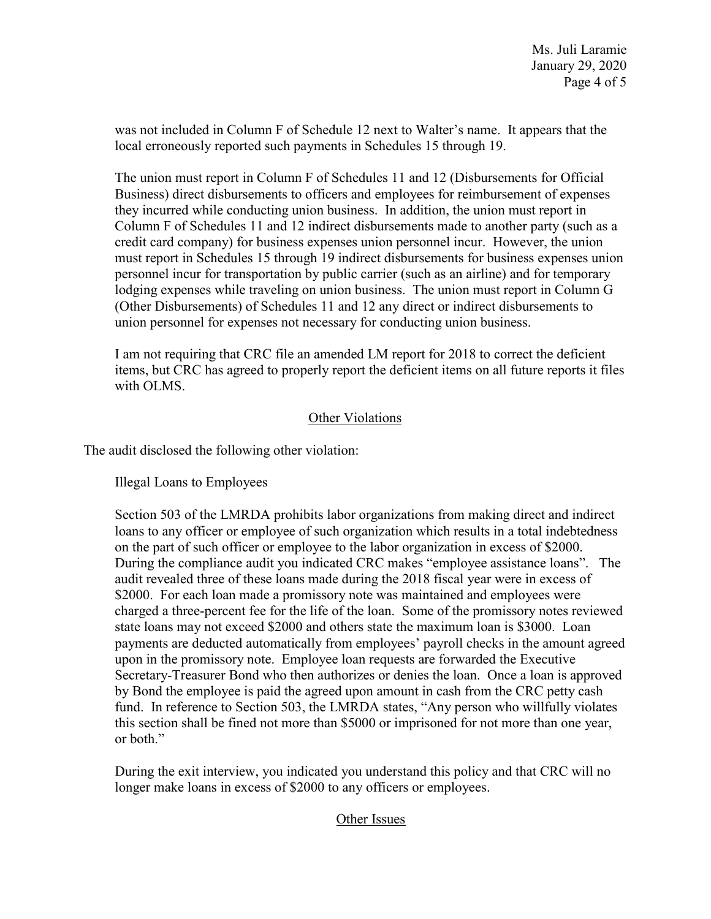was not included in Column F of Schedule 12 next to Walter's name. It appears that the local erroneously reported such payments in Schedules 15 through 19.

The union must report in Column F of Schedules 11 and 12 (Disbursements for Official Business) direct disbursements to officers and employees for reimbursement of expenses they incurred while conducting union business. In addition, the union must report in Column F of Schedules 11 and 12 indirect disbursements made to another party (such as a credit card company) for business expenses union personnel incur. However, the union must report in Schedules 15 through 19 indirect disbursements for business expenses union personnel incur for transportation by public carrier (such as an airline) and for temporary lodging expenses while traveling on union business. The union must report in Column G (Other Disbursements) of Schedules 11 and 12 any direct or indirect disbursements to union personnel for expenses not necessary for conducting union business.

I am not requiring that CRC file an amended LM report for 2018 to correct the deficient items, but CRC has agreed to properly report the deficient items on all future reports it files with OLMS.

# Other Violations

The audit disclosed the following other violation:

Illegal Loans to Employees

Section 503 of the LMRDA prohibits labor organizations from making direct and indirect loans to any officer or employee of such organization which results in a total indebtedness on the part of such officer or employee to the labor organization in excess of \$2000. During the compliance audit you indicated CRC makes "employee assistance loans". The audit revealed three of these loans made during the 2018 fiscal year were in excess of \$2000. For each loan made a promissory note was maintained and employees were charged a three-percent fee for the life of the loan. Some of the promissory notes reviewed state loans may not exceed \$2000 and others state the maximum loan is \$3000. Loan payments are deducted automatically from employees' payroll checks in the amount agreed upon in the promissory note. Employee loan requests are forwarded the Executive Secretary-Treasurer Bond who then authorizes or denies the loan. Once a loan is approved by Bond the employee is paid the agreed upon amount in cash from the CRC petty cash fund. In reference to Section 503, the LMRDA states, "Any person who willfully violates this section shall be fined not more than \$5000 or imprisoned for not more than one year, or both."

During the exit interview, you indicated you understand this policy and that CRC will no longer make loans in excess of \$2000 to any officers or employees.

# Other Issues